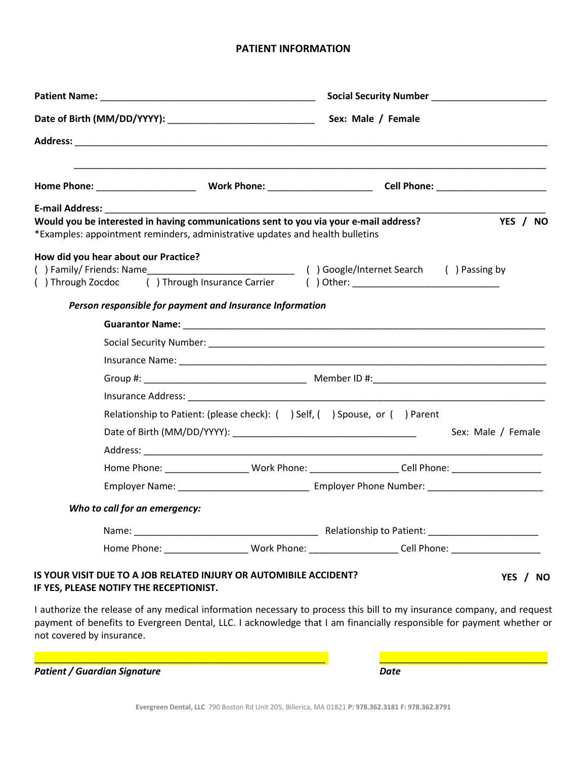# **PATIENT INFORMATION**

| <b>E-mail Address:</b>    | Would you be interested in having communications sent to you via your e-mail address?<br>*Examples: appointment reminders, administrative updates and health bulletins | YES / NO                                                                                                                                                                                                                                       |  |
|---------------------------|------------------------------------------------------------------------------------------------------------------------------------------------------------------------|------------------------------------------------------------------------------------------------------------------------------------------------------------------------------------------------------------------------------------------------|--|
|                           | How did you hear about our Practice?                                                                                                                                   | () Through Zocdoc () Through Insurance Carrier () Other: _______________________                                                                                                                                                               |  |
|                           | Person responsible for payment and Insurance Information                                                                                                               |                                                                                                                                                                                                                                                |  |
|                           |                                                                                                                                                                        |                                                                                                                                                                                                                                                |  |
|                           |                                                                                                                                                                        |                                                                                                                                                                                                                                                |  |
|                           |                                                                                                                                                                        |                                                                                                                                                                                                                                                |  |
|                           |                                                                                                                                                                        |                                                                                                                                                                                                                                                |  |
|                           |                                                                                                                                                                        |                                                                                                                                                                                                                                                |  |
|                           | Relationship to Patient: (please check): ( ) Self, ( ) Spouse, or ( ) Parent                                                                                           |                                                                                                                                                                                                                                                |  |
|                           |                                                                                                                                                                        | Sex: Male / Female                                                                                                                                                                                                                             |  |
|                           |                                                                                                                                                                        |                                                                                                                                                                                                                                                |  |
|                           |                                                                                                                                                                        | Home Phone: ______________________Work Phone: ______________________Cell Phone: ____________________                                                                                                                                           |  |
|                           |                                                                                                                                                                        |                                                                                                                                                                                                                                                |  |
|                           | Who to call for an emergency:                                                                                                                                          |                                                                                                                                                                                                                                                |  |
|                           |                                                                                                                                                                        |                                                                                                                                                                                                                                                |  |
|                           |                                                                                                                                                                        | Home Phone: ______________________Work Phone: _____________________Cell Phone: _____________________                                                                                                                                           |  |
|                           | IS YOUR VISIT DUE TO A JOB RELATED INJURY OR AUTOMIBILE ACCIDENT?<br>IF YES, PLEASE NOTIFY THE RECEPTIONIST.                                                           | YES / NO                                                                                                                                                                                                                                       |  |
| not covered by insurance. |                                                                                                                                                                        | I authorize the release of any medical information necessary to process this bill to my insurance company, and request<br>payment of benefits to Evergreen Dental, LLC. I acknowledge that I am financially responsible for payment whether or |  |

**Patient / Guardian Signature Date** *Date* 

\_\_\_\_\_\_\_\_\_\_\_\_\_\_\_\_\_\_\_\_\_\_\_\_\_\_\_\_\_\_\_\_\_\_\_\_\_\_\_\_\_\_\_\_\_\_\_\_\_\_\_\_\_\_\_ \_\_\_\_\_\_\_\_\_\_\_\_\_\_\_\_\_\_\_\_\_\_\_\_\_\_\_\_\_\_\_\_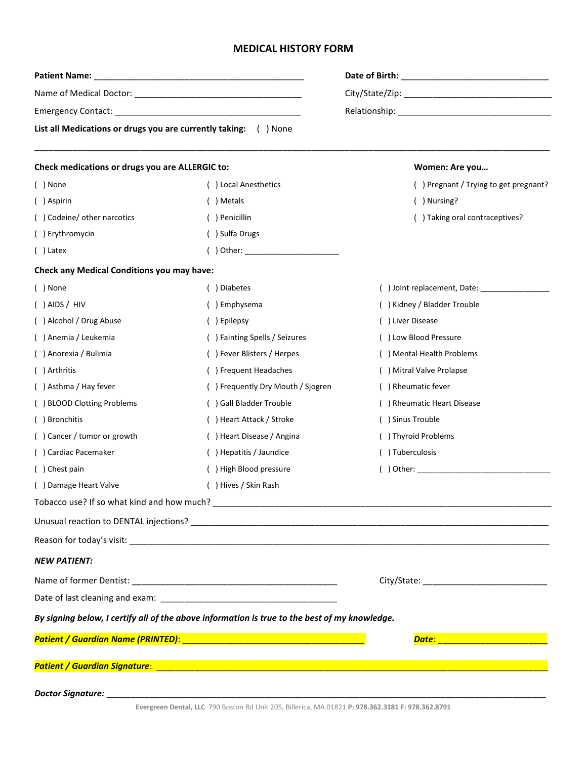## **MEDICAL HISTORY FORM**

| List all Medications or drugs you are currently taking: () None |                                                                                               |                                                                                                                                                                                                                                      |  |
|-----------------------------------------------------------------|-----------------------------------------------------------------------------------------------|--------------------------------------------------------------------------------------------------------------------------------------------------------------------------------------------------------------------------------------|--|
| Check medications or drugs you are ALLERGIC to:                 |                                                                                               | Women: Are you                                                                                                                                                                                                                       |  |
| ( ) None                                                        | () Local Anesthetics                                                                          | () Pregnant / Trying to get pregnant?                                                                                                                                                                                                |  |
| () Aspirin                                                      | ( ) Metals                                                                                    | () Nursing?                                                                                                                                                                                                                          |  |
| () Codeine/ other narcotics                                     | () Penicillin                                                                                 | () Taking oral contraceptives?                                                                                                                                                                                                       |  |
| () Erythromycin                                                 | () Sulfa Drugs                                                                                |                                                                                                                                                                                                                                      |  |
| $( )$ Latex                                                     |                                                                                               |                                                                                                                                                                                                                                      |  |
| <b>Check any Medical Conditions you may have:</b>               |                                                                                               |                                                                                                                                                                                                                                      |  |
| ( ) None                                                        | () Diabetes                                                                                   |                                                                                                                                                                                                                                      |  |
| $( )$ AIDS / HIV                                                | () Emphysema                                                                                  | () Kidney / Bladder Trouble                                                                                                                                                                                                          |  |
| () Alcohol / Drug Abuse                                         | () Epilepsy                                                                                   | () Liver Disease                                                                                                                                                                                                                     |  |
| () Anemia / Leukemia                                            | () Fainting Spells / Seizures                                                                 | () Low Blood Pressure                                                                                                                                                                                                                |  |
| () Anorexia / Bulimia                                           | () Fever Blisters / Herpes                                                                    | () Mental Health Problems                                                                                                                                                                                                            |  |
| () Arthritis                                                    | () Frequent Headaches                                                                         | () Mitral Valve Prolapse                                                                                                                                                                                                             |  |
| () Asthma / Hay fever                                           | () Frequently Dry Mouth / Sjogren                                                             | () Rheumatic fever                                                                                                                                                                                                                   |  |
| () BLOOD Clotting Problems                                      | () Gall Bladder Trouble                                                                       | () Rheumatic Heart Disease                                                                                                                                                                                                           |  |
| () Bronchitis                                                   | () Heart Attack / Stroke                                                                      | () Sinus Trouble                                                                                                                                                                                                                     |  |
| () Cancer / tumor or growth                                     | () Heart Disease / Angina                                                                     | () Thyroid Problems                                                                                                                                                                                                                  |  |
| () Cardiac Pacemaker                                            | () Hepatitis / Jaundice                                                                       | () Tuberculosis                                                                                                                                                                                                                      |  |
| () Chest pain                                                   | () High Blood pressure                                                                        | $($ $)$ Other:                                                                                                                                                                                                                       |  |
| () Damage Heart Valve                                           | () Hives / Skin Rash                                                                          |                                                                                                                                                                                                                                      |  |
|                                                                 |                                                                                               |                                                                                                                                                                                                                                      |  |
|                                                                 |                                                                                               |                                                                                                                                                                                                                                      |  |
|                                                                 |                                                                                               |                                                                                                                                                                                                                                      |  |
| <b>NEW PATIENT:</b>                                             |                                                                                               |                                                                                                                                                                                                                                      |  |
|                                                                 |                                                                                               |                                                                                                                                                                                                                                      |  |
|                                                                 |                                                                                               |                                                                                                                                                                                                                                      |  |
|                                                                 | By signing below, I certify all of the above information is true to the best of my knowledge. |                                                                                                                                                                                                                                      |  |
|                                                                 |                                                                                               | Date: <b>Date: And American Contract Contract Contract Contract Contract Contract Contract Contract Contract Contract Contract Contract Contract Contract Contract Contract Contract Contract Contract Contract Contract Contrac</b> |  |
|                                                                 |                                                                                               |                                                                                                                                                                                                                                      |  |
|                                                                 |                                                                                               |                                                                                                                                                                                                                                      |  |
|                                                                 |                                                                                               |                                                                                                                                                                                                                                      |  |

**Evergreen Dental, LLC** 790 Boston Rd Unit 205, Billerica, MA 01821 **P: 978.362.3181 F: 978.362.8791**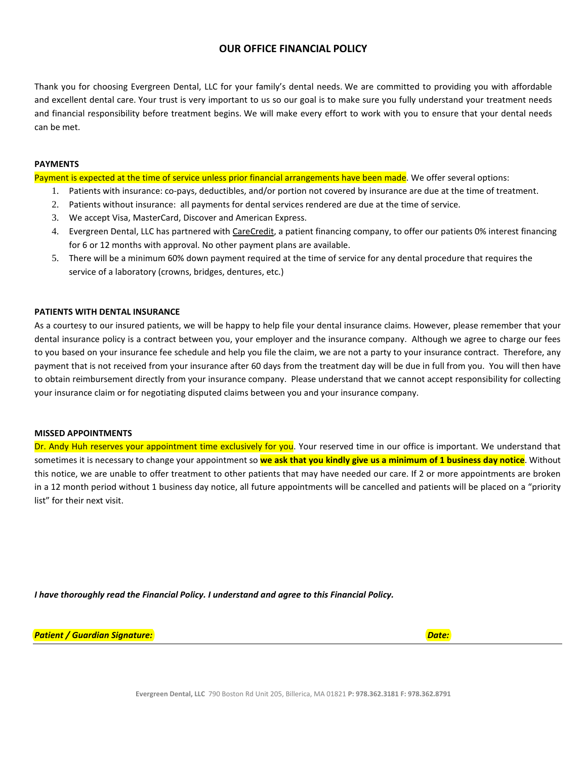### **OUR OFFICE FINANCIAL POLICY**

Thank you for choosing Evergreen Dental, LLC for your family's dental needs. We are committed to providing you with affordable and excellent dental care. Your trust is very important to us so our goal is to make sure you fully understand your treatment needs and financial responsibility before treatment begins. We will make every effort to work with you to ensure that your dental needs can be met.

### **PAYMENTS**

Payment is expected at the time of service unless prior financial arrangements have been made. We offer several options:

- 1. Patients with insurance: co-pays, deductibles, and/or portion not covered by insurance are due at the time of treatment.
- 2. Patients without insurance: all payments for dental services rendered are due at the time of service.
- 3. We accept Visa, MasterCard, Discover and American Express.
- 4. Evergreen Dental, LLC has partnered with CareCredit, a patient financing company, to offer our patients 0% interest financing for 6 or 12 months with approval. No other payment plans are available.
- 5. There will be a minimum 60% down payment required at the time of service for any dental procedure that requires the service of a laboratory (crowns, bridges, dentures, etc.)

### **PATIENTS WITH DENTAL INSURANCE**

As a courtesy to our insured patients, we will be happy to help file your dental insurance claims. However, please remember that your dental insurance policy is a contract between you, your employer and the insurance company. Although we agree to charge our fees to you based on your insurance fee schedule and help you file the claim, we are not a party to your insurance contract. Therefore, any payment that is not received from your insurance after 60 days from the treatment day will be due in full from you. You will then have to obtain reimbursement directly from your insurance company. Please understand that we cannot accept responsibility for collecting your insurance claim or for negotiating disputed claims between you and your insurance company.

### **MISSED APPOINTMENTS**

Dr. Andy Huh reserves your appointment time exclusively for you. Your reserved time in our office is important. We understand that sometimes it is necessary to change your appointment so **we ask that you kindly give us a minimum of 1 business day notice**. Without this notice, we are unable to offer treatment to other patients that may have needed our care. If 2 or more appointments are broken in a 12 month period without 1 business day notice, all future appointments will be cancelled and patients will be placed on a "priority list" for their next visit.

*I have thoroughly read the Financial Policy. I understand and agree to this Financial Policy.* 

*Patient / Guardian Signature: Date:*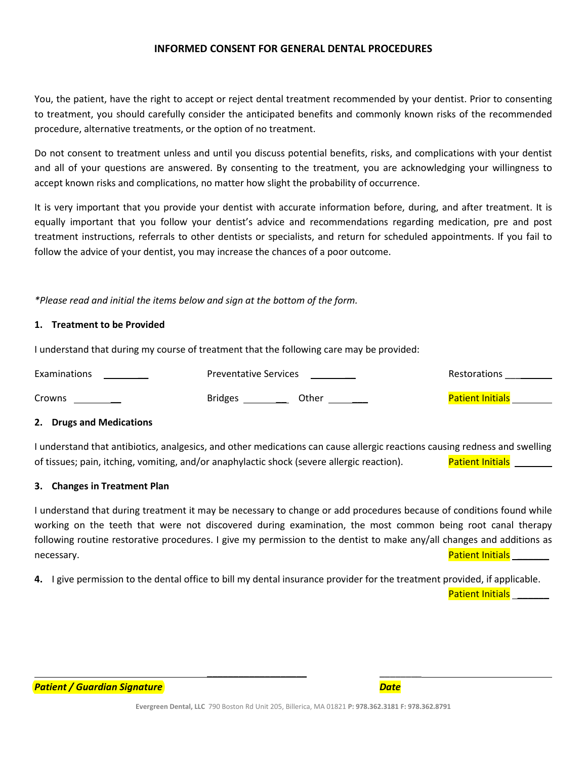## **INFORMED CONSENT FOR GENERAL DENTAL PROCEDURES**

You, the patient, have the right to accept or reject dental treatment recommended by your dentist. Prior to consenting to treatment, you should carefully consider the anticipated benefits and commonly known risks of the recommended procedure, alternative treatments, or the option of no treatment.

Do not consent to treatment unless and until you discuss potential benefits, risks, and complications with your dentist and all of your questions are answered. By consenting to the treatment, you are acknowledging your willingness to accept known risks and complications, no matter how slight the probability of occurrence.

It is very important that you provide your dentist with accurate information before, during, and after treatment. It is equally important that you follow your dentist's advice and recommendations regarding medication, pre and post treatment instructions, referrals to other dentists or specialists, and return for scheduled appointments. If you fail to follow the advice of your dentist, you may increase the chances of a poor outcome.

*\*Please read and initial the items below and sign at the bottom of the form.*

## **1. Treatment to be Provided**

I understand that during my course of treatment that the following care may be provided:

| Examinations | <b>Preventative Services</b> | <b>Restorations</b>     |
|--------------|------------------------------|-------------------------|
| Crowns       | <b>Bridges</b><br>Other      | <b>Patient Initials</b> |

## **2. Drugs and Medications**

I understand that antibiotics, analgesics, and other medications can cause allergic reactions causing redness and swelling of tissues; pain, itching, vomiting, and/or anaphylactic shock (severe allergic reaction). Patient Initials \_

## **3. Changes in Treatment Plan**

I understand that during treatment it may be necessary to change or add procedures because of conditions found while working on the teeth that were not discovered during examination, the most common being root canal therapy following routine restorative procedures. I give my permission to the dentist to make any/all changes and additions as necessary. **Patient Initials Exercise 2018 Patient Initials Patient Initials** 

**4.** I give permission to the dental office to bill my dental insurance provider for the treatment provided, if applicable.

Patient Initials **\_\_\_\_\_\_**



**\_\_\_\_\_\_\_\_\_\_\_\_\_\_\_\_\_\_\_** \_\_\_\_\_\_\_\_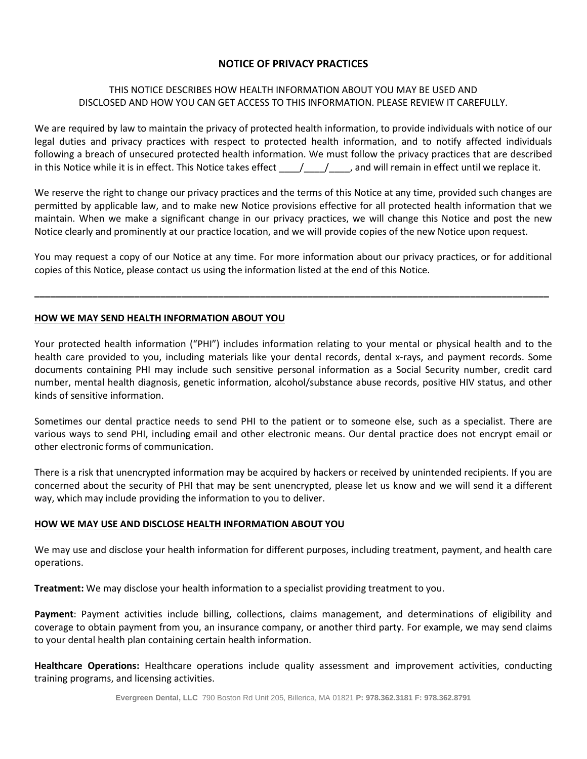# **NOTICE OF PRIVACY PRACTICES**

# THIS NOTICE DESCRIBES HOW HEALTH INFORMATION ABOUT YOU MAY BE USED AND DISCLOSED AND HOW YOU CAN GET ACCESS TO THIS INFORMATION. PLEASE REVIEW IT CAREFULLY.

We are required by law to maintain the privacy of protected health information, to provide individuals with notice of our legal duties and privacy practices with respect to protected health information, and to notify affected individuals following a breach of unsecured protected health information. We must follow the privacy practices that are described in this Notice while it is in effect. This Notice takes effect  $\frac{1}{2}$ , and will remain in effect until we replace it.

We reserve the right to change our privacy practices and the terms of this Notice at any time, provided such changes are permitted by applicable law, and to make new Notice provisions effective for all protected health information that we maintain. When we make a significant change in our privacy practices, we will change this Notice and post the new Notice clearly and prominently at our practice location, and we will provide copies of the new Notice upon request.

You may request a copy of our Notice at any time. For more information about our privacy practices, or for additional copies of this Notice, please contact us using the information listed at the end of this Notice.

**\_\_\_\_\_\_\_\_\_\_\_\_\_\_\_\_\_\_\_\_\_\_\_\_\_\_\_\_\_\_\_\_\_\_\_\_\_\_\_\_\_\_\_\_\_\_\_\_\_\_\_\_\_\_\_\_\_\_\_\_\_\_\_\_\_\_\_\_\_\_\_\_\_\_\_\_\_\_\_\_\_\_\_\_\_\_\_\_\_\_\_\_\_\_\_\_\_\_**

## **HOW WE MAY SEND HEALTH INFORMATION ABOUT YOU**

Your protected health information ("PHI") includes information relating to your mental or physical health and to the health care provided to you, including materials like your dental records, dental x-rays, and payment records. Some documents containing PHI may include such sensitive personal information as a Social Security number, credit card number, mental health diagnosis, genetic information, alcohol/substance abuse records, positive HIV status, and other kinds of sensitive information.

Sometimes our dental practice needs to send PHI to the patient or to someone else, such as a specialist. There are various ways to send PHI, including email and other electronic means. Our dental practice does not encrypt email or other electronic forms of communication.

There is a risk that unencrypted information may be acquired by hackers or received by unintended recipients. If you are concerned about the security of PHI that may be sent unencrypted, please let us know and we will send it a different way, which may include providing the information to you to deliver.

## **HOW WE MAY USE AND DISCLOSE HEALTH INFORMATION ABOUT YOU**

We may use and disclose your health information for different purposes, including treatment, payment, and health care operations.

**Treatment:** We may disclose your health information to a specialist providing treatment to you.

**Payment**: Payment activities include billing, collections, claims management, and determinations of eligibility and coverage to obtain payment from you, an insurance company, or another third party. For example, we may send claims to your dental health plan containing certain health information.

**Healthcare Operations:** Healthcare operations include quality assessment and improvement activities, conducting training programs, and licensing activities.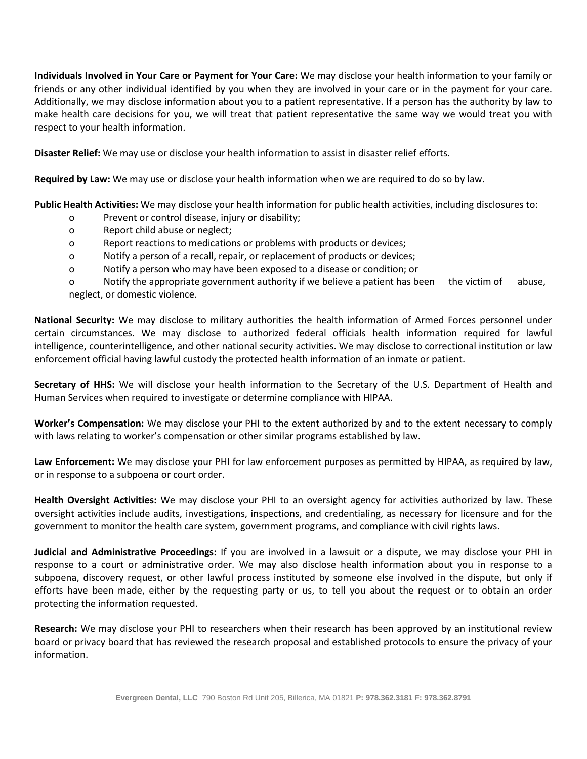**Individuals Involved in Your Care or Payment for Your Care:** We may disclose your health information to your family or friends or any other individual identified by you when they are involved in your care or in the payment for your care. Additionally, we may disclose information about you to a patient representative. If a person has the authority by law to make health care decisions for you, we will treat that patient representative the same way we would treat you with respect to your health information.

**Disaster Relief:** We may use or disclose your health information to assist in disaster relief efforts.

**Required by Law:** We may use or disclose your health information when we are required to do so by law.

**Public Health Activities:** We may disclose your health information for public health activities, including disclosures to:

- o Prevent or control disease, injury or disability;
- o Report child abuse or neglect;
- o Report reactions to medications or problems with products or devices;
- o Notify a person of a recall, repair, or replacement of products or devices;
- o Notify a person who may have been exposed to a disease or condition; or

o Notify the appropriate government authority if we believe a patient has been the victim of abuse, neglect, or domestic violence.

**National Security:** We may disclose to military authorities the health information of Armed Forces personnel under certain circumstances. We may disclose to authorized federal officials health information required for lawful intelligence, counterintelligence, and other national security activities. We may disclose to correctional institution or law enforcement official having lawful custody the protected health information of an inmate or patient.

**Secretary of HHS:** We will disclose your health information to the Secretary of the U.S. Department of Health and Human Services when required to investigate or determine compliance with HIPAA.

**Worker's Compensation:** We may disclose your PHI to the extent authorized by and to the extent necessary to comply with laws relating to worker's compensation or other similar programs established by law.

**Law Enforcement:** We may disclose your PHI for law enforcement purposes as permitted by HIPAA, as required by law, or in response to a subpoena or court order.

**Health Oversight Activities:** We may disclose your PHI to an oversight agency for activities authorized by law. These oversight activities include audits, investigations, inspections, and credentialing, as necessary for licensure and for the government to monitor the health care system, government programs, and compliance with civil rights laws.

**Judicial and Administrative Proceedings:** If you are involved in a lawsuit or a dispute, we may disclose your PHI in response to a court or administrative order. We may also disclose health information about you in response to a subpoena, discovery request, or other lawful process instituted by someone else involved in the dispute, but only if efforts have been made, either by the requesting party or us, to tell you about the request or to obtain an order protecting the information requested.

**Research:** We may disclose your PHI to researchers when their research has been approved by an institutional review board or privacy board that has reviewed the research proposal and established protocols to ensure the privacy of your information.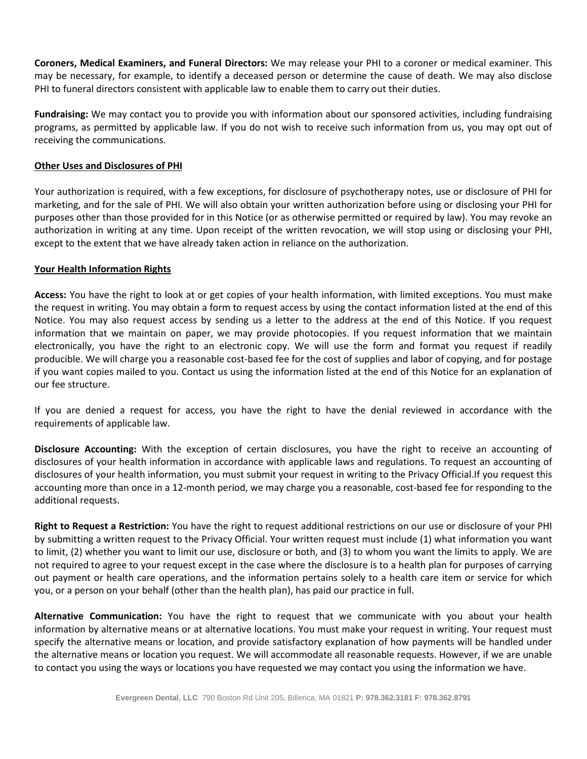**Coroners, Medical Examiners, and Funeral Directors:** We may release your PHI to a coroner or medical examiner. This may be necessary, for example, to identify a deceased person or determine the cause of death. We may also disclose PHI to funeral directors consistent with applicable law to enable them to carry out their duties.

**Fundraising:** We may contact you to provide you with information about our sponsored activities, including fundraising programs, as permitted by applicable law. If you do not wish to receive such information from us, you may opt out of receiving the communications.

### **Other Uses and Disclosures of PHI**

Your authorization is required, with a few exceptions, for disclosure of psychotherapy notes, use or disclosure of PHI for marketing, and for the sale of PHI. We will also obtain your written authorization before using or disclosing your PHI for purposes other than those provided for in this Notice (or as otherwise permitted or required by law). You may revoke an authorization in writing at any time. Upon receipt of the written revocation, we will stop using or disclosing your PHI, except to the extent that we have already taken action in reliance on the authorization.

### **Your Health Information Rights**

**Access:** You have the right to look at or get copies of your health information, with limited exceptions. You must make the request in writing. You may obtain a form to request access by using the contact information listed at the end of this Notice. You may also request access by sending us a letter to the address at the end of this Notice. If you request information that we maintain on paper, we may provide photocopies. If you request information that we maintain electronically, you have the right to an electronic copy. We will use the form and format you request if readily producible. We will charge you a reasonable cost-based fee for the cost of supplies and labor of copying, and for postage if you want copies mailed to you. Contact us using the information listed at the end of this Notice for an explanation of our fee structure.

If you are denied a request for access, you have the right to have the denial reviewed in accordance with the requirements of applicable law.

**Disclosure Accounting:** With the exception of certain disclosures, you have the right to receive an accounting of disclosures of your health information in accordance with applicable laws and regulations. To request an accounting of disclosures of your health information, you must submit your request in writing to the Privacy Official.If you request this accounting more than once in a 12-month period, we may charge you a reasonable, cost-based fee for responding to the additional requests.

**Right to Request a Restriction:** You have the right to request additional restrictions on our use or disclosure of your PHI by submitting a written request to the Privacy Official. Your written request must include (1) what information you want to limit, (2) whether you want to limit our use, disclosure or both, and (3) to whom you want the limits to apply. We are not required to agree to your request except in the case where the disclosure is to a health plan for purposes of carrying out payment or health care operations, and the information pertains solely to a health care item or service for which you, or a person on your behalf (other than the health plan), has paid our practice in full.

**Alternative Communication:** You have the right to request that we communicate with you about your health information by alternative means or at alternative locations. You must make your request in writing. Your request must specify the alternative means or location, and provide satisfactory explanation of how payments will be handled under the alternative means or location you request. We will accommodate all reasonable requests. However, if we are unable to contact you using the ways or locations you have requested we may contact you using the information we have.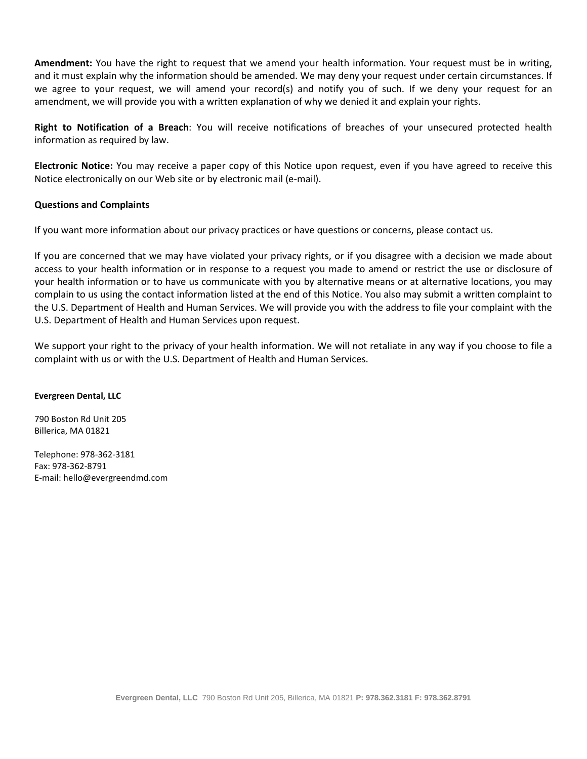**Amendment:** You have the right to request that we amend your health information. Your request must be in writing, and it must explain why the information should be amended. We may deny your request under certain circumstances. If we agree to your request, we will amend your record(s) and notify you of such. If we deny your request for an amendment, we will provide you with a written explanation of why we denied it and explain your rights.

**Right to Notification of a Breach**: You will receive notifications of breaches of your unsecured protected health information as required by law.

**Electronic Notice:** You may receive a paper copy of this Notice upon request, even if you have agreed to receive this Notice electronically on our Web site or by electronic mail (e-mail).

## **Questions and Complaints**

If you want more information about our privacy practices or have questions or concerns, please contact us.

If you are concerned that we may have violated your privacy rights, or if you disagree with a decision we made about access to your health information or in response to a request you made to amend or restrict the use or disclosure of your health information or to have us communicate with you by alternative means or at alternative locations, you may complain to us using the contact information listed at the end of this Notice. You also may submit a written complaint to the U.S. Department of Health and Human Services. We will provide you with the address to file your complaint with the U.S. Department of Health and Human Services upon request.

We support your right to the privacy of your health information. We will not retaliate in any way if you choose to file a complaint with us or with the U.S. Department of Health and Human Services.

### **Evergreen Dental, LLC**

790 Boston Rd Unit 205 Billerica, MA 01821

Telephone: 978-362-3181 Fax: 978-362-8791 E-mail: hello@evergreendmd.com